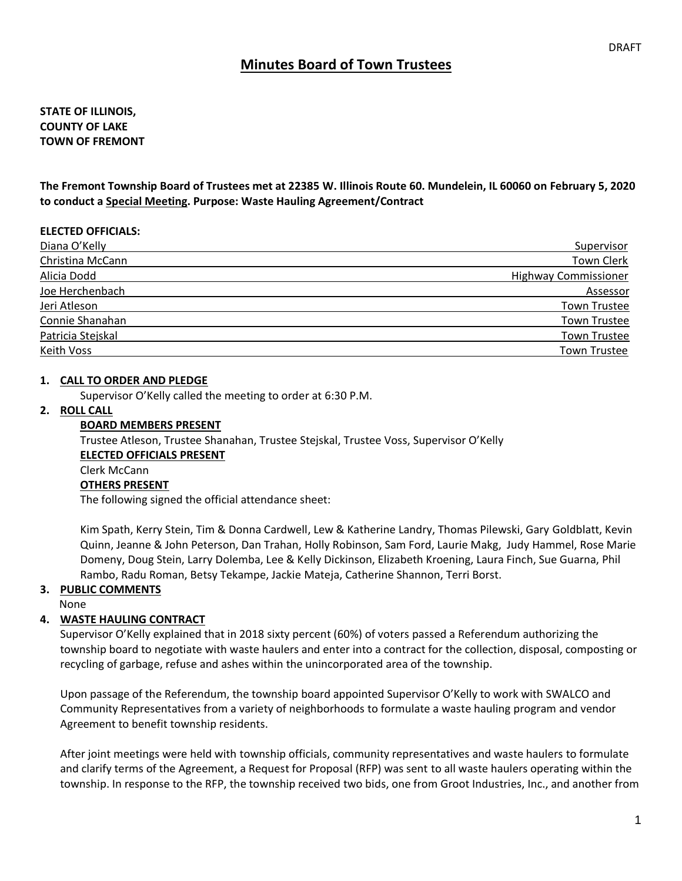# **Minutes Board of Town Trustees**

## **STATE OF ILLINOIS, COUNTY OF LAKE TOWN OF FREMONT**

**The Fremont Township Board of Trustees met at 22385 W. Illinois Route 60. Mundelein, IL 60060 on February 5, 2020 to conduct a Special Meeting. Purpose: Waste Hauling Agreement/Contract**

#### **ELECTED OFFICIALS:**

| Diana O'Kelly     | Supervisor                  |
|-------------------|-----------------------------|
| Christina McCann  | Town Clerk                  |
| Alicia Dodd       | <b>Highway Commissioner</b> |
| Joe Herchenbach   | Assessor                    |
| Jeri Atleson      | <b>Town Trustee</b>         |
| Connie Shanahan   | <b>Town Trustee</b>         |
| Patricia Stejskal | <b>Town Trustee</b>         |
| Keith Voss        | <b>Town Trustee</b>         |

#### **1. CALL TO ORDER AND PLEDGE**

Supervisor O'Kelly called the meeting to order at 6:30 P.M.

#### **2. ROLL CALL**

#### **BOARD MEMBERS PRESENT**

Trustee Atleson, Trustee Shanahan, Trustee Stejskal, Trustee Voss, Supervisor O'Kelly **ELECTED OFFICIALS PRESENT** Clerk McCann **OTHERS PRESENT** The following signed the official attendance sheet:

Kim Spath, Kerry Stein, Tim & Donna Cardwell, Lew & Katherine Landry, Thomas Pilewski, Gary Goldblatt, Kevin Quinn, Jeanne & John Peterson, Dan Trahan, Holly Robinson, Sam Ford, Laurie Makg, Judy Hammel, Rose Marie Domeny, Doug Stein, Larry Dolemba, Lee & Kelly Dickinson, Elizabeth Kroening, Laura Finch, Sue Guarna, Phil Rambo, Radu Roman, Betsy Tekampe, Jackie Mateja, Catherine Shannon, Terri Borst.

#### **3. PUBLIC COMMENTS**

#### None

### **4. WASTE HAULING CONTRACT**

Supervisor O'Kelly explained that in 2018 sixty percent (60%) of voters passed a Referendum authorizing the township board to negotiate with waste haulers and enter into a contract for the collection, disposal, composting or recycling of garbage, refuse and ashes within the unincorporated area of the township.

Upon passage of the Referendum, the township board appointed Supervisor O'Kelly to work with SWALCO and Community Representatives from a variety of neighborhoods to formulate a waste hauling program and vendor Agreement to benefit township residents.

After joint meetings were held with township officials, community representatives and waste haulers to formulate and clarify terms of the Agreement, a Request for Proposal (RFP) was sent to all waste haulers operating within the township. In response to the RFP, the township received two bids, one from Groot Industries, Inc., and another from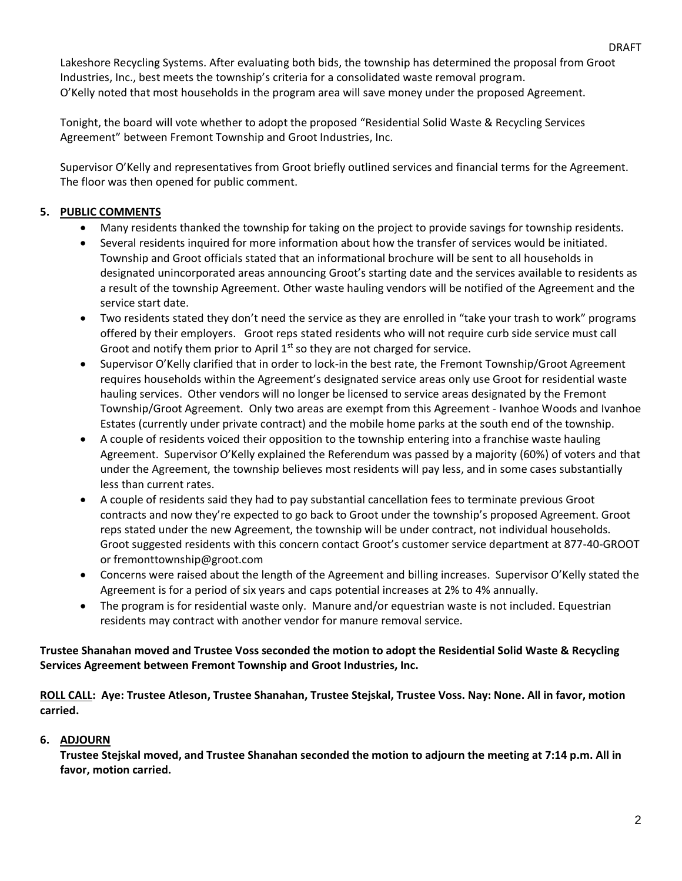DRAFT

Lakeshore Recycling Systems. After evaluating both bids, the township has determined the proposal from Groot Industries, Inc., best meets the township's criteria for a consolidated waste removal program. O'Kelly noted that most households in the program area will save money under the proposed Agreement.

Tonight, the board will vote whether to adopt the proposed "Residential Solid Waste & Recycling Services Agreement" between Fremont Township and Groot Industries, Inc.

Supervisor O'Kelly and representatives from Groot briefly outlined services and financial terms for the Agreement. The floor was then opened for public comment.

## **5. PUBLIC COMMENTS**

- Many residents thanked the township for taking on the project to provide savings for township residents.
- Several residents inquired for more information about how the transfer of services would be initiated. Township and Groot officials stated that an informational brochure will be sent to all households in designated unincorporated areas announcing Groot's starting date and the services available to residents as a result of the township Agreement. Other waste hauling vendors will be notified of the Agreement and the service start date.
- Two residents stated they don't need the service as they are enrolled in "take your trash to work" programs offered by their employers. Groot reps stated residents who will not require curb side service must call Groot and notify them prior to April  $1<sup>st</sup>$  so they are not charged for service.
- Supervisor O'Kelly clarified that in order to lock-in the best rate, the Fremont Township/Groot Agreement requires households within the Agreement's designated service areas only use Groot for residential waste hauling services. Other vendors will no longer be licensed to service areas designated by the Fremont Township/Groot Agreement. Only two areas are exempt from this Agreement - Ivanhoe Woods and Ivanhoe Estates (currently under private contract) and the mobile home parks at the south end of the township.
- A couple of residents voiced their opposition to the township entering into a franchise waste hauling Agreement. Supervisor O'Kelly explained the Referendum was passed by a majority (60%) of voters and that under the Agreement, the township believes most residents will pay less, and in some cases substantially less than current rates.
- A couple of residents said they had to pay substantial cancellation fees to terminate previous Groot contracts and now they're expected to go back to Groot under the township's proposed Agreement. Groot reps stated under the new Agreement, the township will be under contract, not individual households. Groot suggested residents with this concern contact Groot's customer service department at 877-40-GROOT or fremonttownship@groot.com
- Concerns were raised about the length of the Agreement and billing increases. Supervisor O'Kelly stated the Agreement is for a period of six years and caps potential increases at 2% to 4% annually.
- The program is for residential waste only. Manure and/or equestrian waste is not included. Equestrian residents may contract with another vendor for manure removal service.

## **Trustee Shanahan moved and Trustee Voss seconded the motion to adopt the Residential Solid Waste & Recycling Services Agreement between Fremont Township and Groot Industries, Inc.**

**ROLL CALL: Aye: Trustee Atleson, Trustee Shanahan, Trustee Stejskal, Trustee Voss. Nay: None. All in favor, motion carried.** 

## **6. ADJOURN**

**Trustee Stejskal moved, and Trustee Shanahan seconded the motion to adjourn the meeting at 7:14 p.m. All in favor, motion carried.**